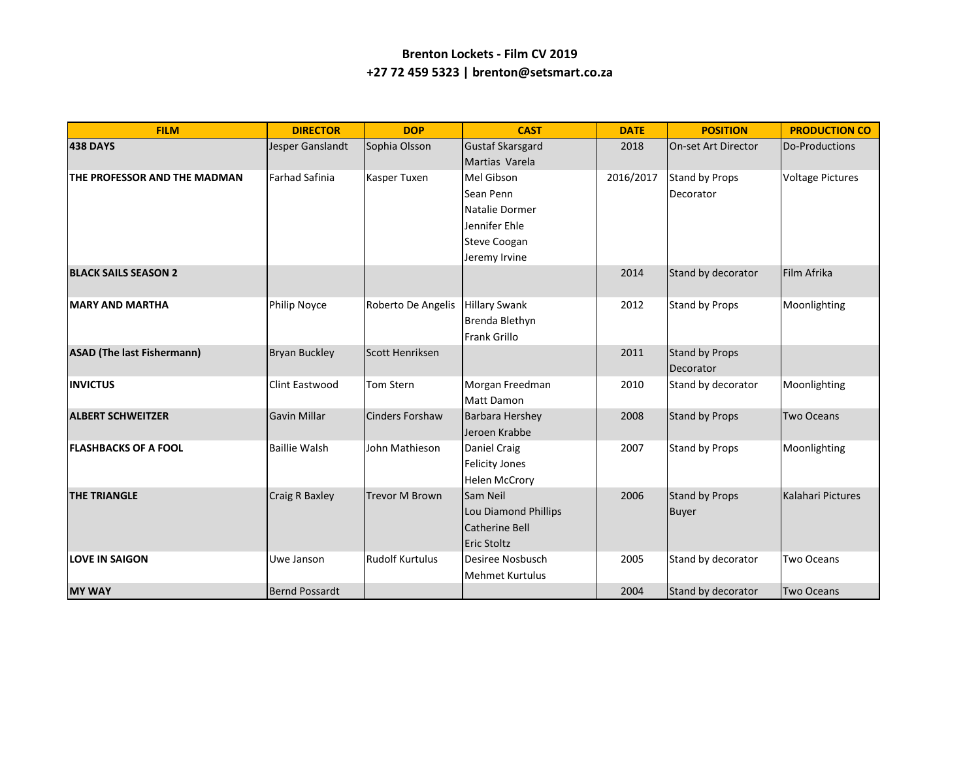## **Brenton Lockets - Film CV 2019 +27 72 459 5323 | brenton@setsmart.co.za**

| <b>FILM</b>                       | <b>DIRECTOR</b>       | <b>DOP</b>             | <b>CAST</b>             | <b>DATE</b> | <b>POSITION</b>            | <b>PRODUCTION CO</b>    |
|-----------------------------------|-----------------------|------------------------|-------------------------|-------------|----------------------------|-------------------------|
| <b>438 DAYS</b>                   | Jesper Ganslandt      | Sophia Olsson          | <b>Gustaf Skarsgard</b> | 2018        | <b>On-set Art Director</b> | Do-Productions          |
|                                   |                       |                        | Martias Varela          |             |                            |                         |
| THE PROFESSOR AND THE MADMAN      | Farhad Safinia        | Kasper Tuxen           | Mel Gibson              | 2016/2017   | Stand by Props             | <b>Voltage Pictures</b> |
|                                   |                       |                        | Sean Penn               |             | Decorator                  |                         |
|                                   |                       |                        | Natalie Dormer          |             |                            |                         |
|                                   |                       |                        | Jennifer Ehle           |             |                            |                         |
|                                   |                       |                        | <b>Steve Coogan</b>     |             |                            |                         |
|                                   |                       |                        | Jeremy Irvine           |             |                            |                         |
| <b>BLACK SAILS SEASON 2</b>       |                       |                        |                         | 2014        | Stand by decorator         | Film Afrika             |
| <b>IMARY AND MARTHA</b>           | <b>Philip Noyce</b>   | Roberto De Angelis     | <b>Hillary Swank</b>    | 2012        | Stand by Props             | Moonlighting            |
|                                   |                       |                        | Brenda Blethyn          |             |                            |                         |
|                                   |                       |                        | <b>Frank Grillo</b>     |             |                            |                         |
| <b>ASAD (The last Fishermann)</b> | <b>Bryan Buckley</b>  | Scott Henriksen        |                         | 2011        | <b>Stand by Props</b>      |                         |
|                                   |                       |                        |                         |             | Decorator                  |                         |
| <b>INVICTUS</b>                   | Clint Eastwood        | Tom Stern              | Morgan Freedman         | 2010        | Stand by decorator         | Moonlighting            |
|                                   |                       |                        | <b>Matt Damon</b>       |             |                            |                         |
| <b>ALBERT SCHWEITZER</b>          | <b>Gavin Millar</b>   | <b>Cinders Forshaw</b> | Barbara Hershey         | 2008        | <b>Stand by Props</b>      | <b>Two Oceans</b>       |
|                                   |                       |                        | Jeroen Krabbe           |             |                            |                         |
| <b>FLASHBACKS OF A FOOL</b>       | <b>Baillie Walsh</b>  | John Mathieson         | Daniel Craig            | 2007        | Stand by Props             | Moonlighting            |
|                                   |                       |                        | <b>Felicity Jones</b>   |             |                            |                         |
|                                   |                       |                        | <b>Helen McCrory</b>    |             |                            |                         |
| <b>THE TRIANGLE</b>               | <b>Craig R Baxley</b> | <b>Trevor M Brown</b>  | Sam Neil                | 2006        | <b>Stand by Props</b>      | Kalahari Pictures       |
|                                   |                       |                        | Lou Diamond Phillips    |             | <b>Buyer</b>               |                         |
|                                   |                       |                        | Catherine Bell          |             |                            |                         |
|                                   |                       |                        | Eric Stoltz             |             |                            |                         |
| <b>LOVE IN SAIGON</b>             | Uwe Janson            | <b>Rudolf Kurtulus</b> | Desiree Nosbusch        | 2005        | Stand by decorator         | <b>Two Oceans</b>       |
|                                   |                       |                        | <b>Mehmet Kurtulus</b>  |             |                            |                         |
| <b>MY WAY</b>                     | <b>Bernd Possardt</b> |                        |                         | 2004        | Stand by decorator         | Two Oceans              |